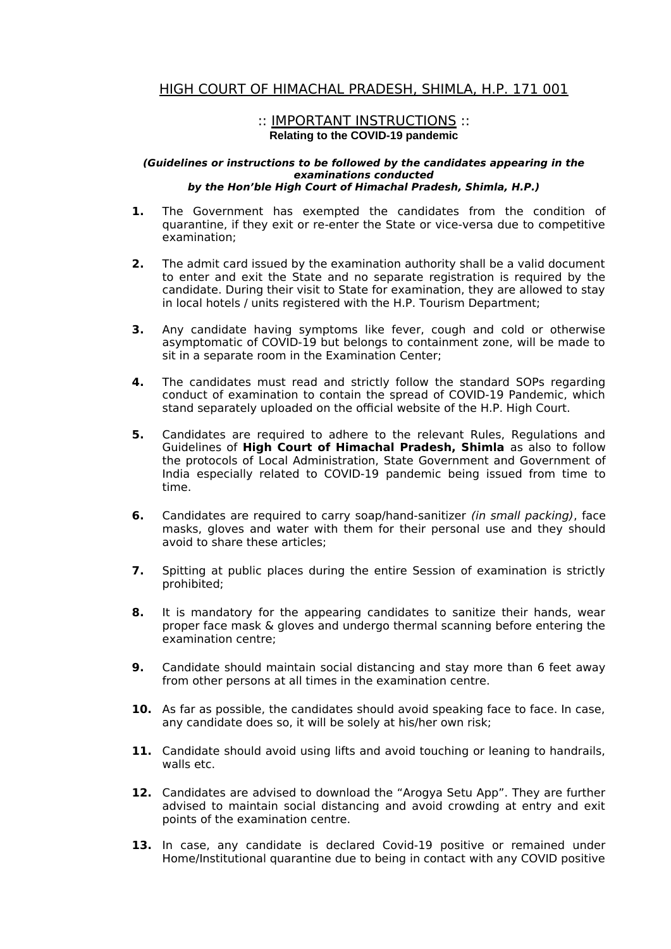## HIGH COURT OF HIMACHAL PRADESH, SHIMLA, H.P. 171 001

## :: IMPORTANT INSTRUCTIONS :: **Relating to the COVID-19 pandemic**

## **(Guidelines or instructions to be followed by the candidates appearing in the examinations conducted by the Hon'ble High Court of Himachal Pradesh, Shimla, H.P.)**

- **1.** The Government has exempted the candidates from the condition of quarantine, if they exit or re-enter the State or vice-versa due to competitive examination;
- **2.** The admit card issued by the examination authority shall be a valid document to enter and exit the State and no separate registration is required by the candidate. During their visit to State for examination, they are allowed to stay in local hotels / units registered with the H.P. Tourism Department;
- **3.** Any candidate having symptoms like fever, cough and cold or otherwise asymptomatic of COVID-19 but belongs to containment zone, will be made to sit in a separate room in the Examination Center;
- **4.** The candidates must read and strictly follow the standard SOPs regarding conduct of examination to contain the spread of COVID-19 Pandemic, which stand separately uploaded on the official website of the H.P. High Court.
- **5.** Candidates are required to adhere to the relevant Rules, Regulations and Guidelines of **High Court of Himachal Pradesh, Shimla** as also to follow the protocols of Local Administration, State Government and Government of India especially related to COVID-19 pandemic being issued from time to time.
- **6.** Candidates are required to carry soap/hand-sanitizer (in small packing), face masks, gloves and water with them for their personal use and they should avoid to share these articles;
- **7.** Spitting at public places during the entire Session of examination is strictly prohibited;
- **8.** It is mandatory for the appearing candidates to sanitize their hands, wear proper face mask & gloves and undergo thermal scanning before entering the examination centre;
- **9.** Candidate should maintain social distancing and stay more than 6 feet away from other persons at all times in the examination centre.
- **10.** As far as possible, the candidates should avoid speaking face to face. In case, any candidate does so, it will be solely at his/her own risk;
- **11.** Candidate should avoid using lifts and avoid touching or leaning to handrails, walls etc.
- **12.** Candidates are advised to download the "Arogya Setu App". They are further advised to maintain social distancing and avoid crowding at entry and exit points of the examination centre.
- **13.** In case, any candidate is declared Covid-19 positive or remained under Home/Institutional quarantine due to being in contact with any COVID positive